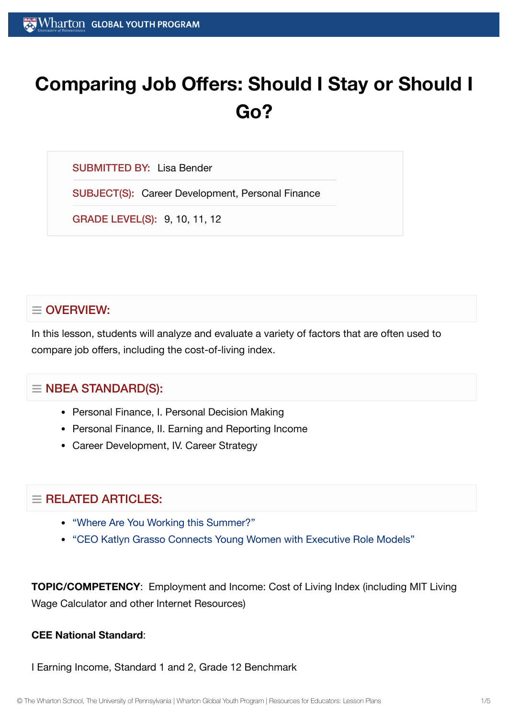# **Comparing Job Offers: Should I Stay or Should I Go?**

SUBMITTED BY: Lisa Bender

SUBJECT(S): Career Development, Personal Finance

GRADE LEVEL(S): 9, 10, 11, 12

# $\equiv$  OVERVIEW:

In this lesson, students will analyze and evaluate a variety of factors that are often used to compare job offers, including the cost-of-living index.

## $\equiv$  NBEA STANDARD(S):

- Personal Finance, I. Personal Decision Making
- Personal Finance, II. Earning and Reporting Income
- Career Development, IV. Career Strategy

## $\equiv$  RELATED ARTICLES:

- "Where Are You Working [this Summer?"](https://globalyouth.wharton.upenn.edu/articles/where-are-you-working-this-summer/)
- "CEO Katlyn Grasso [Connects Young](https://globalyouth.wharton.upenn.edu/articles/katlyn-grasso-young-women-executive-role-models/) Women with Executive Role Models"

**TOPIC/COMPETENCY**: Employment and Income: Cost of Living Index (including MIT Living Wage Calculator and other Internet Resources)

#### **CEE National Standard**:

I Earning Income, Standard 1 and 2, Grade 12 Benchmark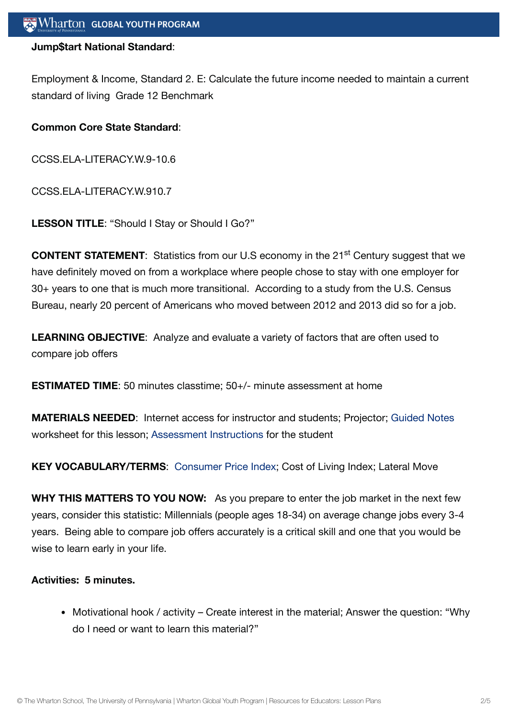#### **Jump\$tart National Standard**:

Employment & Income, Standard 2. E: Calculate the future income needed to maintain a current standard of living Grade 12 Benchmark

#### **Common Core State Standard**:

CCSS.ELA-LITERACY.W.9-10.6

CCSS.ELA-LITERACY.W.910.7

**LESSON TITLE**: "Should I Stay or Should I Go?"

**CONTENT STATEMENT:** Statistics from our U.S economy in the 21<sup>st</sup> Century suggest that we have definitely moved on from a workplace where people chose to stay with one employer for 30+ years to one that is much more transitional. According to a study from the U.S. Census Bureau, nearly 20 percent of Americans who moved between 2012 and 2013 did so for a job.

**LEARNING OBJECTIVE**: Analyze and evaluate a variety of factors that are often used to compare job offers

**ESTIMATED TIME**: 50 minutes classtime; 50+/- minute assessment at home

**MATERIALS NEEDED**: Internet access for instructor and students; Projector; [Guided](https://globalyouth.wharton.upenn.edu/wp-content/uploads/2015/10/Guided_Notes_Wksheet.pdf) Notes worksheet for this lesson; [Assessment](https://globalyouth.wharton.upenn.edu/wp-content/uploads/2015/10/Job_Offer_Assessment.pdf) Instructions for the student

**KEY VOCABULARY/TERMS**: [Consumer](https://globalyouth.wharton.upenn.edu/glossary/consumer-price-index/) Price Index; Cost of Living Index; Lateral Move

**WHY THIS MATTERS TO YOU NOW:** As you prepare to enter the job market in the next few years, consider this statistic: Millennials (people ages 18-34) on average change jobs every 3-4 years. Being able to compare job offers accurately is a critical skill and one that you would be wise to learn early in your life.

#### **Activities: 5 minutes.**

Motivational hook / activity – Create interest in the material; Answer the question: "Why do I need or want to learn this material?"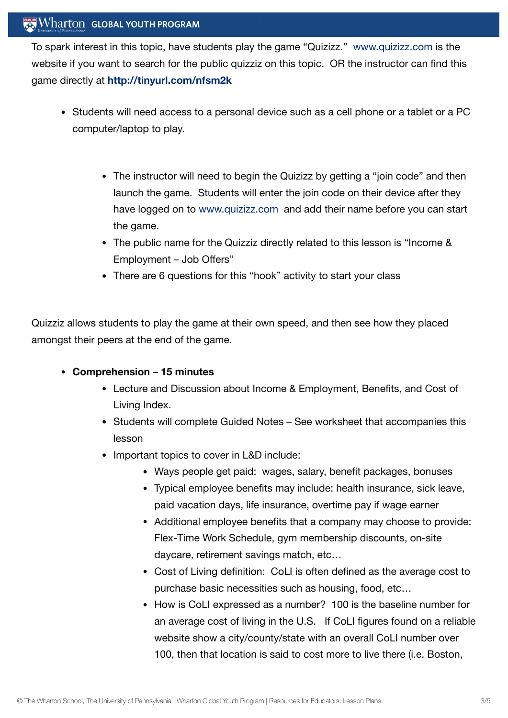## Wharton GLOBAL YOUTH PROGRAM

To spark interest in this topic, have students play the game "Quizizz." [www.quizizz.com](http://www.quizizz.com/) is the website if you want to search for the public quizziz on this topic. OR the instructor can find this game directly at **<http://tinyurl.com/nfsm2k>**

- Students will need access to a personal device such as a cell phone or a tablet or a PC computer/laptop to play.
	- The instructor will need to begin the Quizizz by getting a "join code" and then launch the game. Students will enter the join code on their device after they have logged on to [www.quizizz.com](http://www.quizizz.com/) and add their name before you can start the game.
	- The public name for the Quizziz directly related to this lesson is "Income & Employment – Job Offers"
	- There are 6 questions for this "hook" activity to start your class

Quizziz allows students to play the game at their own speed, and then see how they placed amongst their peers at the end of the game.

#### **Comprehension** – **15 minutes**

- Lecture and Discussion about Income & Employment, Benefits, and Cost of Living Index.
- Students will complete Guided Notes See worksheet that accompanies this lesson
- Important topics to cover in L&D include:
	- Ways people get paid: wages, salary, benefit packages, bonuses
	- Typical employee benefits may include: health insurance, sick leave, paid vacation days, life insurance, overtime pay if wage earner
	- Additional employee benefits that a company may choose to provide: Flex-Time Work Schedule, gym membership discounts, on-site daycare, retirement savings match, etc…
	- Cost of Living definition: CoLI is often defined as the average cost to purchase basic necessities such as housing, food, etc…
	- How is CoLI expressed as a number? 100 is the baseline number for an average cost of living in the U.S. If CoLI figures found on a reliable website show a city/county/state with an overall CoLI number over 100, then that location is said to cost more to live there (i.e. Boston,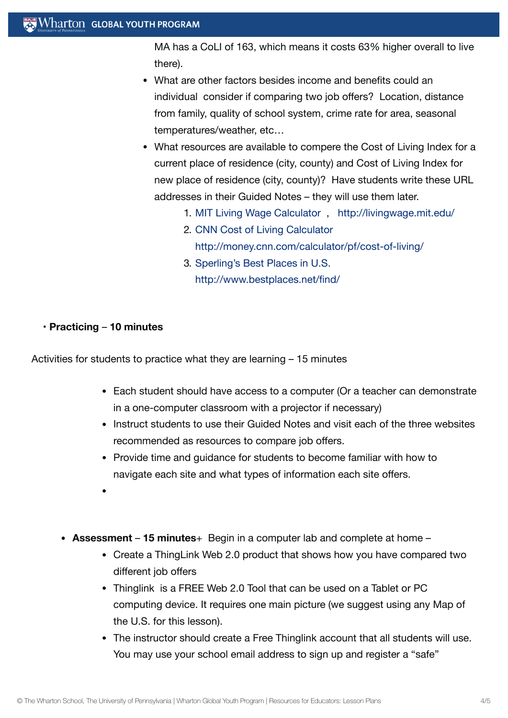MA has a CoLI of 163, which means it costs 63% higher overall to live there).

- What are other factors besides income and benefits could an individual consider if comparing two job offers? Location, distance from family, quality of school system, crime rate for area, seasonal temperatures/weather, etc…
- What resources are available to compere the Cost of Living Index for a current place of residence (city, county) and Cost of Living Index for new place of residence (city, county)? Have students write these URL addresses in their Guided Notes – they will use them later.
	- 1. MIT Living Wage [Calculator](http://livingwage.mit.edu/) , <http://livingwage.mit.edu/>
	- 2. CNN Cost of Living [Calculator](http://money.cnn.com/calculator/pf/cost-of-living/) <http://money.cnn.com/calculator/pf/cost-of-living/>
	- 3. [Sperling's Best](http://www.bestplaces.net/find/) Places in U.S. <http://www.bestplaces.net/find/>

#### **• Practicing** – **10 minutes**

Activities for students to practice what they are learning – 15 minutes

- Each student should have access to a computer (Or a teacher can demonstrate in a one-computer classroom with a projector if necessary)
- Instruct students to use their Guided Notes and visit each of the three websites recommended as resources to compare job offers.
- Provide time and guidance for students to become familiar with how to navigate each site and what types of information each site offers.
- 
- **Assessment 15 minutes**+ Begin in a computer lab and complete at home
	- Create a ThingLink Web 2.0 product that shows how you have compared two different job offers
	- Thinglink is a FREE Web 2.0 Tool that can be used on a Tablet or PC computing device. It requires one main picture (we suggest using any Map of the U.S. for this lesson).
	- The instructor should create a Free Thinglink account that all students will use. You may use your school email address to sign up and register a "safe"